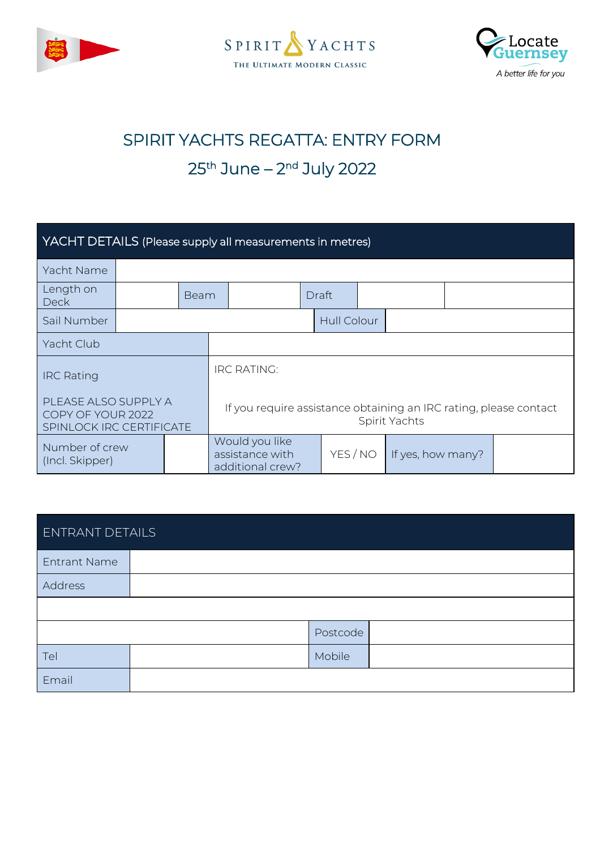





# SPIRIT YACHTS REGATTA: ENTRY FORM 25<sup>th</sup> June – 2<sup>nd</sup> July 2022

| YACHT DETAILS (Please supply all measurements in metres)              |  |      |                    |                                                                                    |  |                    |  |                   |  |
|-----------------------------------------------------------------------|--|------|--------------------|------------------------------------------------------------------------------------|--|--------------------|--|-------------------|--|
| Yacht Name                                                            |  |      |                    |                                                                                    |  |                    |  |                   |  |
| Length on<br><b>Deck</b>                                              |  | Beam |                    |                                                                                    |  | Draft              |  |                   |  |
| Sail Number                                                           |  |      |                    |                                                                                    |  | <b>Hull Colour</b> |  |                   |  |
| Yacht Club                                                            |  |      |                    |                                                                                    |  |                    |  |                   |  |
| <b>IRC Rating</b>                                                     |  |      | <b>IRC RATING:</b> |                                                                                    |  |                    |  |                   |  |
| PLEASE ALSO SUPPLY A<br>COPY OF YOUR 2022<br>SPINLOCK IRC CERTIFICATE |  |      |                    | If you require assistance obtaining an IRC rating, please contact<br>Spirit Yachts |  |                    |  |                   |  |
| Number of crew<br>(Incl. Skipper)                                     |  |      |                    | Would you like<br>assistance with<br>additional crew?                              |  | YES / NO           |  | If yes, how many? |  |

| <b>ENTRANT DETAILS</b> |  |          |  |  |
|------------------------|--|----------|--|--|
| <b>Entrant Name</b>    |  |          |  |  |
| Address                |  |          |  |  |
|                        |  |          |  |  |
|                        |  | Postcode |  |  |
| Tel                    |  | Mobile   |  |  |
| Email                  |  |          |  |  |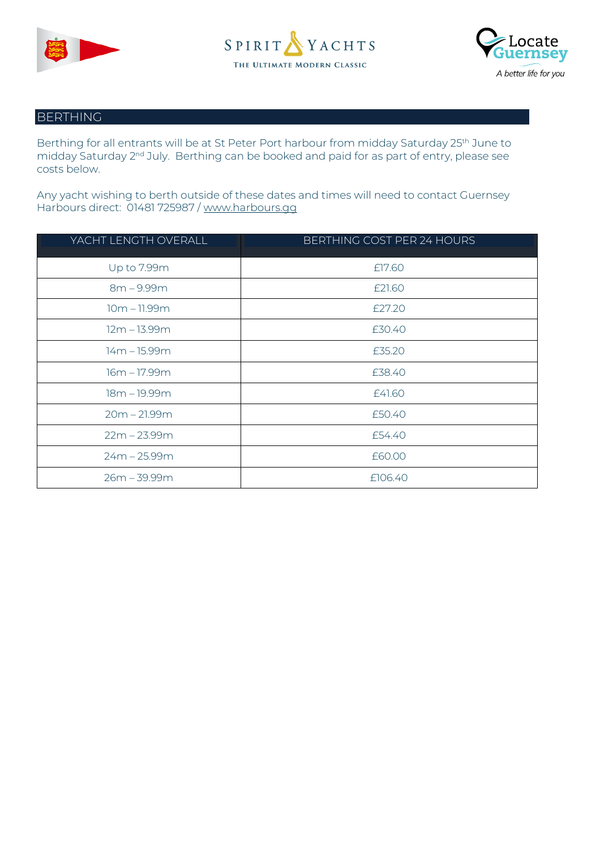





#### BERTHING

Berthing for all entrants will be at St Peter Port harbour from midday Saturday 25<sup>th</sup> June to midday Saturday 2<sup>nd</sup> July. Berthing can be booked and paid for as part of entry, please see costs below.

Any yacht wishing to berth outside of these dates and times will need to contact Guernsey Harbours direct: 01481 725987 / [www.harbours.gg](http://www.harbours.gg/) 

| YACHT LENGTH OVERALL | BERTHING COST PER 24 HOURS |
|----------------------|----------------------------|
| Up to 7.99m          | £17.60                     |
| $8m - 9.99m$         | £21.60                     |
| $10m - 11.99m$       | £27.20                     |
| $12m - 13.99m$       | £30.40                     |
| 14m - 15.99m         | £35.20                     |
| 16m – 17.99m         | £38.40                     |
| 18m - 19.99m         | £41.60                     |
| $20m - 21.99m$       | £50.40                     |
| $22m - 23.99m$       | £54.40                     |
| $24m - 25.99m$       | £60.00                     |
| $26m - 39.99m$       | £106.40                    |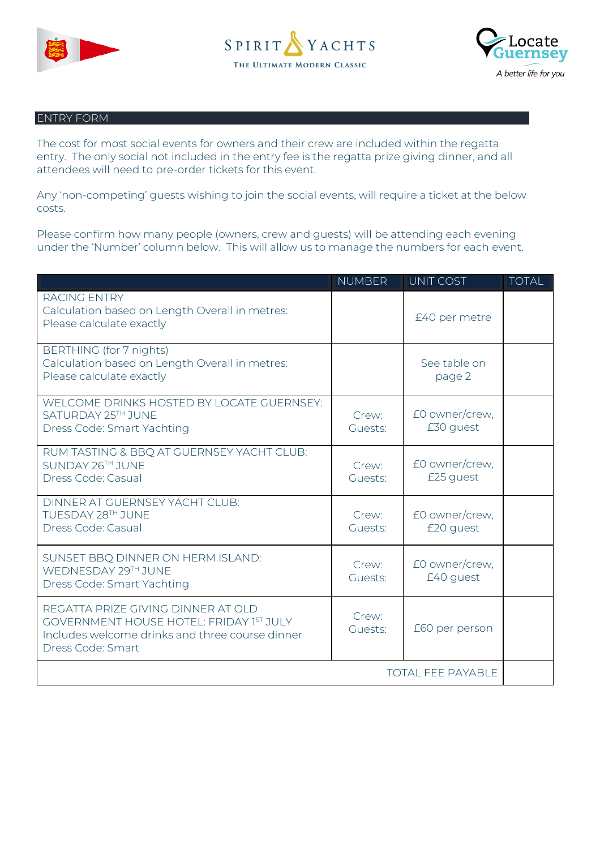





#### ENTRY FORM

The cost for most social events for owners and their crew are included within the regatta entry. The only social not included in the entry fee is the regatta prize giving dinner, and all attendees will need to pre-order tickets for this event.

Any 'non-competing' guests wishing to join the social events, will require a ticket at the below costs.

Please confirm how many people (owners, crew and guests) will be attending each evening under the 'Number' column below. This will allow us to manage the numbers for each event.

|                                                                                                                                                              | <b>NUMBER</b>    | UNIT COST                   | <b>TOTAL</b> |
|--------------------------------------------------------------------------------------------------------------------------------------------------------------|------------------|-----------------------------|--------------|
| <b>RACING ENTRY</b><br>Calculation based on Length Overall in metres:<br>Please calculate exactly                                                            |                  | £40 per metre               |              |
| BERTHING (for 7 nights)<br>Calculation based on Length Overall in metres:<br>Please calculate exactly                                                        |                  | See table on<br>page 2      |              |
| WELCOME DRINKS HOSTED BY LOCATE GUERNSEY:<br>SATURDAY 25TH JUNE<br>Dress Code: Smart Yachting                                                                | Crew:<br>Guests: | £0 owner/crew,<br>£30 guest |              |
| RUM TASTING & BBQ AT GUERNSEY YACHT CLUB:<br>SUNDAY 26TH JUNE<br>Dress Code: Casual                                                                          | Crew:<br>Guests: | £0 owner/crew,<br>£25 guest |              |
| DINNER AT GUERNSEY YACHT CLUB:<br>TUESDAY 28TH JUNE<br>Dress Code: Casual                                                                                    | Crew:<br>Guests: | £0 owner/crew,<br>£20 guest |              |
| SUNSET BBQ DINNER ON HERM ISLAND:<br>WEDNESDAY 29TH JUNE<br>Dress Code: Smart Yachting                                                                       | Crew:<br>Guests: | £0 owner/crew,<br>£40 guest |              |
| REGATTA PRIZE GIVING DINNER AT OLD<br><b>GOVERNMENT HOUSE HOTEL: FRIDAY 1ST JULY</b><br>Includes welcome drinks and three course dinner<br>Dress Code: Smart | Crew:<br>Guests: | £60 per person              |              |
| <b>TOTAL FEE PAYABLE</b>                                                                                                                                     |                  |                             |              |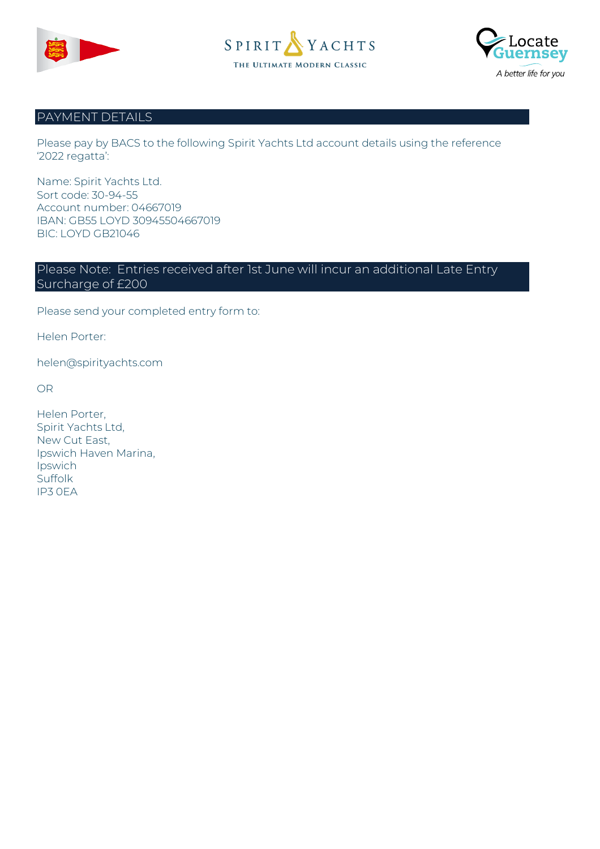





#### PAYMENT DETAILS

Please pay by BACS to the following Spirit Yachts Ltd account details using the reference '2022 regatta':

Name: Spirit Yachts Ltd. Sort code: 30-94-55 Account number: 04667019 IBAN: GB55 LOYD 30945504667019 BIC: LOYD GB21046

### Please Note: Entries received after 1st June will incur an additional Late Entry Surcharge of £200

Please send your completed entry form to:

Helen Porter:

helen@spirityachts.com

OR

| Helen Porter,         |
|-----------------------|
| Spirit Yachts Ltd,    |
| New Cut East,         |
| Ipswich Haven Marina, |
| Ipswich               |
| Suffolk               |
| IP3 OFA               |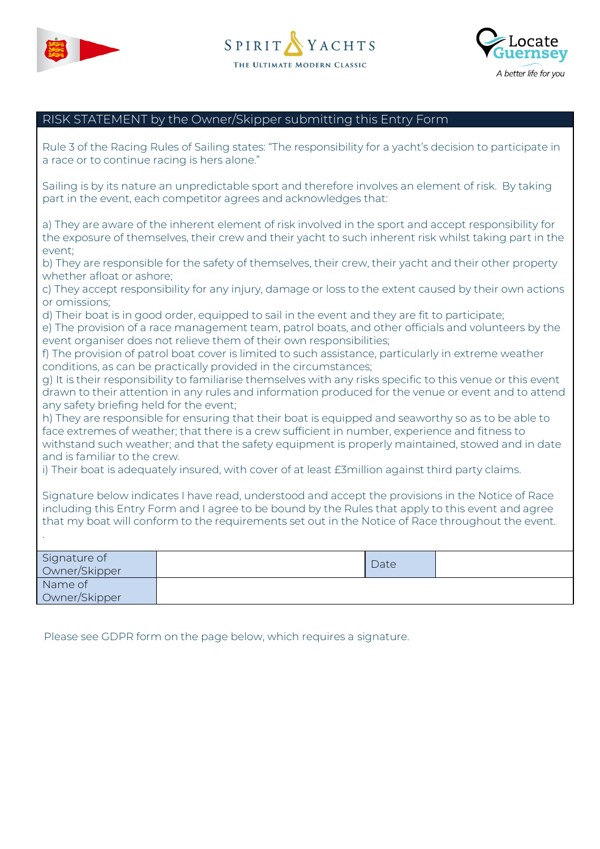





## RISK STATEMENT by the Owner/Skipper submitting this Entry Form

| Rule 3 of the Racing Rules of Sailing states: "The responsibility for a yacht's decision to participate in<br>a race or to continue racing is hers alone."                                                                                                                                                  |                                                                                                        |      |  |  |
|-------------------------------------------------------------------------------------------------------------------------------------------------------------------------------------------------------------------------------------------------------------------------------------------------------------|--------------------------------------------------------------------------------------------------------|------|--|--|
| Sailing is by its nature an unpredictable sport and therefore involves an element of risk. By taking<br>part in the event, each competitor agrees and acknowledges that:                                                                                                                                    |                                                                                                        |      |  |  |
| a) They are aware of the inherent element of risk involved in the sport and accept responsibility for<br>the exposure of themselves, their crew and their yacht to such inherent risk whilst taking part in the<br>event;                                                                                   |                                                                                                        |      |  |  |
| whether afloat or ashore;                                                                                                                                                                                                                                                                                   | b) They are responsible for the safety of themselves, their crew, their yacht and their other property |      |  |  |
| or omissions;                                                                                                                                                                                                                                                                                               | c) They accept responsibility for any injury, damage or loss to the extent caused by their own actions |      |  |  |
| d) Their boat is in good order, equipped to sail in the event and they are fit to participate;<br>e) The provision of a race management team, patrol boats, and other officials and volunteers by the<br>event organiser does not relieve them of their own responsibilities;                               |                                                                                                        |      |  |  |
| f) The provision of patrol boat cover is limited to such assistance, particularly in extreme weather<br>conditions, as can be practically provided in the circumstances;                                                                                                                                    |                                                                                                        |      |  |  |
| g) It is their responsibility to familiarise themselves with any risks specific to this venue or this event<br>drawn to their attention in any rules and information produced for the venue or event and to attend<br>any safety briefing held for the event;                                               |                                                                                                        |      |  |  |
| h) They are responsible for ensuring that their boat is equipped and seaworthy so as to be able to<br>face extremes of weather; that there is a crew sufficient in number, experience and fitness to<br>withstand such weather; and that the safety equipment is properly maintained, stowed and in date    |                                                                                                        |      |  |  |
| and is familiar to the crew.<br>i) Their boat is adequately insured, with cover of at least £3million against third party claims.                                                                                                                                                                           |                                                                                                        |      |  |  |
| Signature below indicates I have read, understood and accept the provisions in the Notice of Race<br>including this Entry Form and I agree to be bound by the Rules that apply to this event and agree<br>that my boat will conform to the requirements set out in the Notice of Race throughout the event. |                                                                                                        |      |  |  |
|                                                                                                                                                                                                                                                                                                             |                                                                                                        |      |  |  |
| Signature of<br>Owner/Skipper                                                                                                                                                                                                                                                                               |                                                                                                        | Date |  |  |
| Name of<br>Owner/Skipper                                                                                                                                                                                                                                                                                    |                                                                                                        |      |  |  |

Please see GDPR form on the page below, which requires a signature.